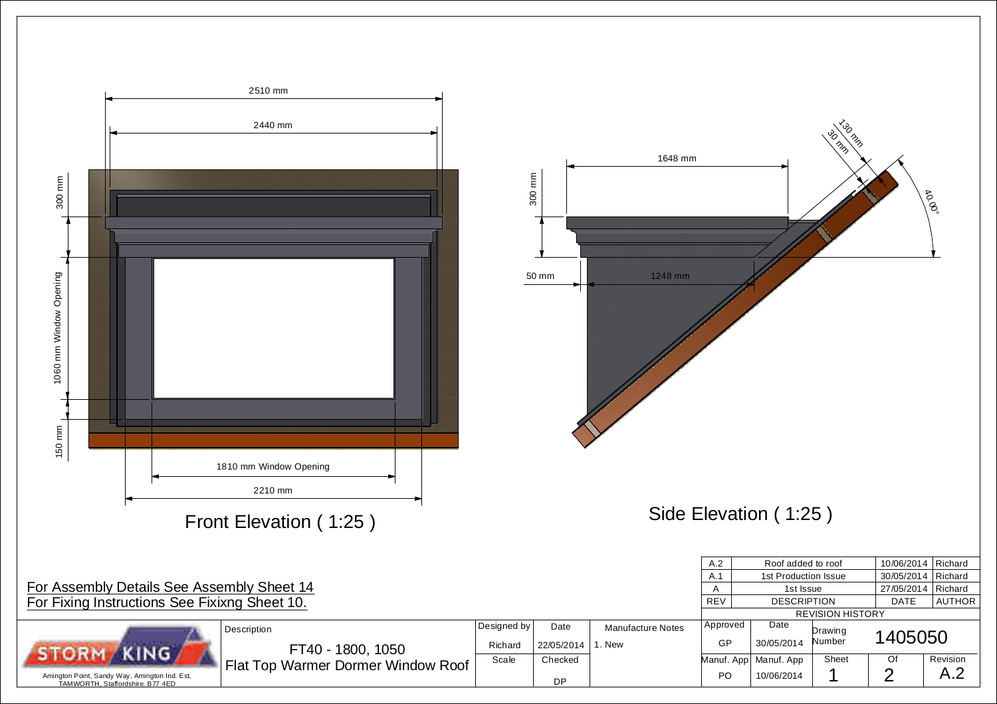